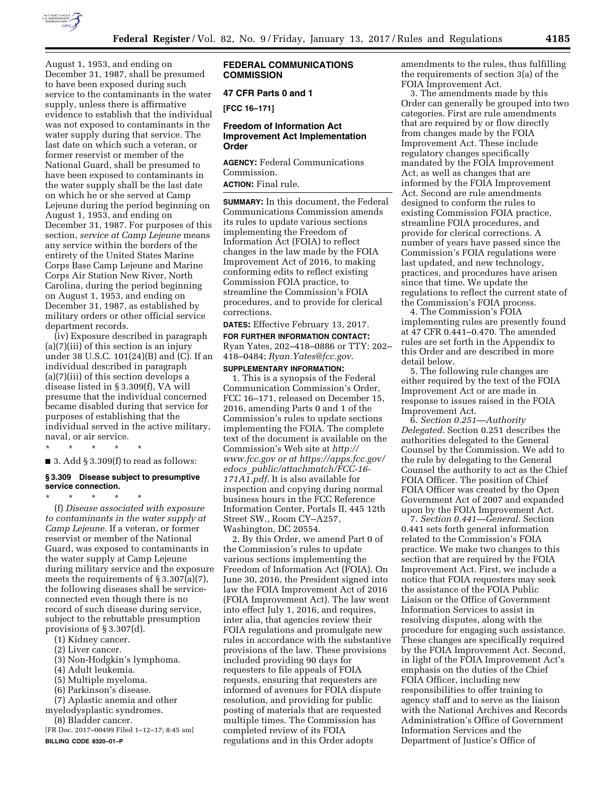

August 1, 1953, and ending on December 31, 1987, shall be presumed to have been exposed during such service to the contaminants in the water supply, unless there is affirmative evidence to establish that the individual was not exposed to contaminants in the water supply during that service. The last date on which such a veteran, or former reservist or member of the National Guard, shall be presumed to have been exposed to contaminants in the water supply shall be the last date on which he or she served at Camp Lejeune during the period beginning on August 1, 1953, and ending on December 31, 1987. For purposes of this section, *service at Camp Lejeune* means any service within the borders of the entirety of the United States Marine Corps Base Camp Lejeune and Marine Corps Air Station New River, North Carolina, during the period beginning on August 1, 1953, and ending on December 31, 1987, as established by military orders or other official service department records.

(iv) Exposure described in paragraph (a)(7)(iii) of this section is an injury under 38 U.S.C. 101(24)(B) and (C). If an individual described in paragraph (a)(7)(iii) of this section develops a disease listed in § 3.309(f), VA will presume that the individual concerned became disabled during that service for purposes of establishing that the individual served in the active military, naval, or air service.

\* \* \* \* \*

 $\blacksquare$  3. Add § 3.309(f) to read as follows:

### **§ 3.309 Disease subject to presumptive service connection.**

\* \* \* \* \* (f) *Disease associated with exposure to contaminants in the water supply at Camp Lejeune.* If a veteran, or former reservist or member of the National Guard, was exposed to contaminants in the water supply at Camp Lejeune during military service and the exposure meets the requirements of § 3.307(a)(7), the following diseases shall be serviceconnected even though there is no record of such disease during service, subject to the rebuttable presumption provisions of § 3.307(d).

- (1) Kidney cancer.
- (2) Liver cancer.
- (3) Non-Hodgkin's lymphoma.
- (4) Adult leukemia.
- (5) Multiple myeloma.
- (6) Parkinson's disease.

(7) Aplastic anemia and other myelodysplastic syndromes.

(8) Bladder cancer.

[FR Doc. 2017–00499 Filed 1–12–17; 8:45 am] **BILLING CODE 8320–01–P** 

# **FEDERAL COMMUNICATIONS COMMISSION**

## **47 CFR Parts 0 and 1**

**[FCC 16–171]** 

# **Freedom of Information Act Improvement Act Implementation Order**

**AGENCY:** Federal Communications Commission. **ACTION:** Final rule.

**SUMMARY:** In this document, the Federal Communications Commission amends its rules to update various sections implementing the Freedom of Information Act (FOIA) to reflect changes in the law made by the FOIA Improvement Act of 2016, to making conforming edits to reflect existing Commission FOIA practice, to streamline the Commission's FOIA procedures, and to provide for clerical corrections.

**DATES:** Effective February 13, 2017.

**FOR FURTHER INFORMATION CONTACT:**  Ryan Yates, 202–418–0886 or TTY: 202– 418–0484; *[Ryan.Yates@fcc.gov.](mailto:Ryan.Yates@fcc.gov)* 

**SUPPLEMENTARY INFORMATION:**  1. This is a synopsis of the Federal Communication Commission's Order, FCC 16–171, released on December 15, 2016, amending Parts 0 and 1 of the Commission's rules to update sections implementing the FOIA. The complete text of the document is available on the Commission's Web site at *[http://](http://www.fcc.gov) [www.fcc.gov](http://www.fcc.gov) or a[t https://apps.fcc.gov/](https://apps.fcc.gov/edocs_public/attachmatch/FCC-16-171A1.pdf)  edocs*\_*[public/attachmatch/FCC-16-](https://apps.fcc.gov/edocs_public/attachmatch/FCC-16-171A1.pdf)  [171A1.pdf](https://apps.fcc.gov/edocs_public/attachmatch/FCC-16-171A1.pdf)*. It is also available for inspection and copying during normal business hours in the FCC Reference Information Center, Portals II, 445 12th Street SW., Room CY–A257, Washington, DC 20554.

2. By this Order, we amend Part 0 of the Commission's rules to update various sections implementing the Freedom of Information Act (FOIA). On June 30, 2016, the President signed into law the FOIA Improvement Act of 2016 (FOIA Improvement Act). The law went into effect July 1, 2016, and requires, inter alia, that agencies review their FOIA regulations and promulgate new rules in accordance with the substantive provisions of the law. These provisions included providing 90 days for requesters to file appeals of FOIA requests, ensuring that requesters are informed of avenues for FOIA dispute resolution, and providing for public posting of materials that are requested multiple times. The Commission has completed review of its FOIA regulations and in this Order adopts

amendments to the rules, thus fulfilling the requirements of section 3(a) of the FOIA Improvement Act.

3. The amendments made by this Order can generally be grouped into two categories. First are rule amendments that are required by or flow directly from changes made by the FOIA Improvement Act. These include regulatory changes specifically mandated by the FOIA Improvement Act, as well as changes that are informed by the FOIA Improvement Act. Second are rule amendments designed to conform the rules to existing Commission FOIA practice, streamline FOIA procedures, and provide for clerical corrections. A number of years have passed since the Commission's FOIA regulations were last updated, and new technology, practices, and procedures have arisen since that time. We update the regulations to reflect the current state of the Commission's FOIA process.

4. The Commission's FOIA implementing rules are presently found at 47 CFR 0.441–0.470. The amended rules are set forth in the Appendix to this Order and are described in more detail below.

5. The following rule changes are either required by the text of the FOIA Improvement Act or are made in response to issues raised in the FOIA Improvement Act.

6. *Section 0.251—Authority Delegated.* Section 0.251 describes the authorities delegated to the General Counsel by the Commission. We add to the rule by delegating to the General Counsel the authority to act as the Chief FOIA Officer. The position of Chief FOIA Officer was created by the Open Government Act of 2007 and expanded upon by the FOIA Improvement Act.

7. *Section 0.441—General.* Section 0.441 sets forth general information related to the Commission's FOIA practice. We make two changes to this section that are required by the FOIA Improvement Act. First, we include a notice that FOIA requesters may seek the assistance of the FOIA Public Liaison or the Office of Government Information Services to assist in resolving disputes, along with the procedure for engaging such assistance. These changes are specifically required by the FOIA Improvement Act. Second, in light of the FOIA Improvement Act's emphasis on the duties of the Chief FOIA Officer, including new responsibilities to offer training to agency staff and to serve as the liaison with the National Archives and Records Administration's Office of Government Information Services and the Department of Justice's Office of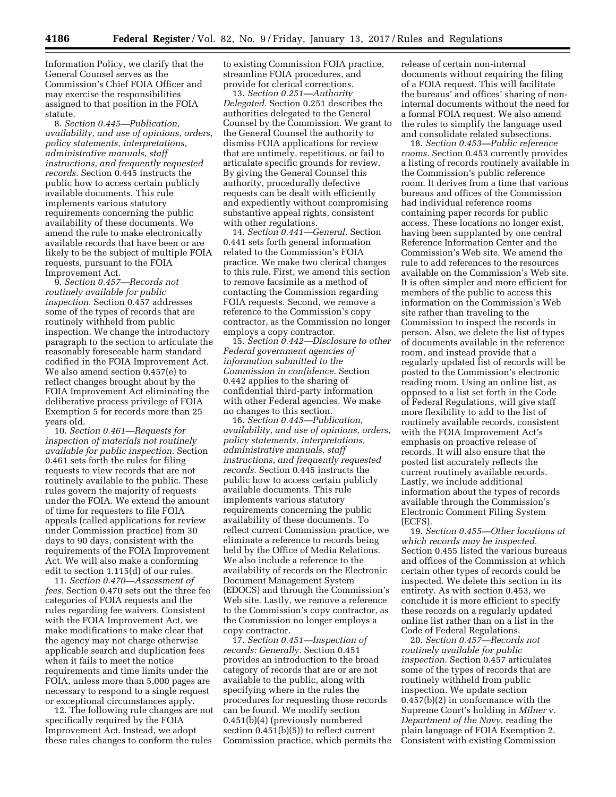Information Policy, we clarify that the General Counsel serves as the Commission's Chief FOIA Officer and may exercise the responsibilities assigned to that position in the FOIA statute.

8. *Section 0.445—Publication, availability, and use of opinions, orders, policy statements, interpretations, administrative manuals, staff instructions, and frequently requested records.* Section 0.445 instructs the public how to access certain publicly available documents. This rule implements various statutory requirements concerning the public availability of these documents. We amend the rule to make electronically available records that have been or are likely to be the subject of multiple FOIA requests, pursuant to the FOIA Improvement Act.

9. *Section 0.457—Records not routinely available for public inspection.* Section 0.457 addresses some of the types of records that are routinely withheld from public inspection. We change the introductory paragraph to the section to articulate the reasonably foreseeable harm standard codified in the FOIA Improvement Act. We also amend section 0.457(e) to reflect changes brought about by the FOIA Improvement Act eliminating the deliberative process privilege of FOIA Exemption 5 for records more than 25 years old.

10. *Section 0.461—Requests for inspection of materials not routinely available for public inspection.* Section 0.461 sets forth the rules for filing requests to view records that are not routinely available to the public. These rules govern the majority of requests under the FOIA. We extend the amount of time for requesters to file FOIA appeals (called applications for review under Commission practice) from 30 days to 90 days, consistent with the requirements of the FOIA Improvement Act. We will also make a conforming edit to section 1.115(d) of our rules.

11. *Section 0.470—Assessment of fees.* Section 0.470 sets out the three fee categories of FOIA requests and the rules regarding fee waivers. Consistent with the FOIA Improvement Act, we make modifications to make clear that the agency may not charge otherwise applicable search and duplication fees when it fails to meet the notice requirements and time limits under the FOIA, unless more than 5,000 pages are necessary to respond to a single request or exceptional circumstances apply.

12. The following rule changes are not specifically required by the FOIA Improvement Act. Instead, we adopt these rules changes to conform the rules

to existing Commission FOIA practice, streamline FOIA procedures, and provide for clerical corrections.

13. *Section 0.251—Authority Delegated.* Section 0.251 describes the authorities delegated to the General Counsel by the Commission. We grant to the General Counsel the authority to dismiss FOIA applications for review that are untimely, repetitious, or fail to articulate specific grounds for review. By giving the General Counsel this authority, procedurally defective requests can be dealt with efficiently and expediently without compromising substantive appeal rights, consistent with other regulations.

14. *Section 0.441—General.* Section 0.441 sets forth general information related to the Commission's FOIA practice. We make two clerical changes to this rule. First, we amend this section to remove facsimile as a method of contacting the Commission regarding FOIA requests. Second, we remove a reference to the Commission's copy contractor, as the Commission no longer employs a copy contractor.

15. *Section 0.442—Disclosure to other Federal government agencies of information submitted to the Commission in confidence.* Section 0.442 applies to the sharing of confidential third-party information with other Federal agencies. We make no changes to this section.

16. *Section 0.445—Publication, availability, and use of opinions, orders, policy statements, interpretations, administrative manuals, staff instructions, and frequently requested records.* Section 0.445 instructs the public how to access certain publicly available documents. This rule implements various statutory requirements concerning the public availability of these documents. To reflect current Commission practice, we eliminate a reference to records being held by the Office of Media Relations. We also include a reference to the availability of records on the Electronic Document Management System (EDOCS) and through the Commission's Web site. Lastly, we remove a reference to the Commission's copy contractor, as the Commission no longer employs a copy contractor.

17. *Section 0.451—Inspection of records: Generally.* Section 0.451 provides an introduction to the broad category of records that are or are not available to the public, along with specifying where in the rules the procedures for requesting those records can be found. We modify section 0.451(b)(4) (previously numbered section 0.451(b)(5)) to reflect current Commission practice, which permits the

release of certain non-internal documents without requiring the filing of a FOIA request. This will facilitate the bureaus' and offices' sharing of noninternal documents without the need for a formal FOIA request. We also amend the rules to simplify the language used and consolidate related subsections.

18. *Section 0.453—Public reference rooms.* Section 0.453 currently provides a listing of records routinely available in the Commission's public reference room. It derives from a time that various bureaus and offices of the Commission had individual reference rooms containing paper records for public access. These locations no longer exist, having been supplanted by one central Reference Information Center and the Commission's Web site. We amend the rule to add references to the resources available on the Commission's Web site. It is often simpler and more efficient for members of the public to access this information on the Commission's Web site rather than traveling to the Commission to inspect the records in person. Also, we delete the list of types of documents available in the reference room, and instead provide that a regularly updated list of records will be posted to the Commission's electronic reading room. Using an online list, as opposed to a list set forth in the Code of Federal Regulations, will give staff more flexibility to add to the list of routinely available records, consistent with the FOIA Improvement Act's emphasis on proactive release of records. It will also ensure that the posted list accurately reflects the current routinely available records. Lastly, we include additional information about the types of records available through the Commission's Electronic Comment Filing System (ECFS).

19. *Section 0.455—Other locations at which records may be inspected.*  Section 0.455 listed the various bureaus and offices of the Commission at which certain other types of records could be inspected. We delete this section in its entirety. As with section 0.453, we conclude it is more efficient to specify these records on a regularly updated online list rather than on a list in the Code of Federal Regulations.

20. *Section 0.457—Records not routinely available for public inspection.* Section 0.457 articulates some of the types of records that are routinely withheld from public inspection. We update section 0.457(b)(2) in conformance with the Supreme Court's holding in *Milner* v. *Department of the Navy,* reading the plain language of FOIA Exemption 2. Consistent with existing Commission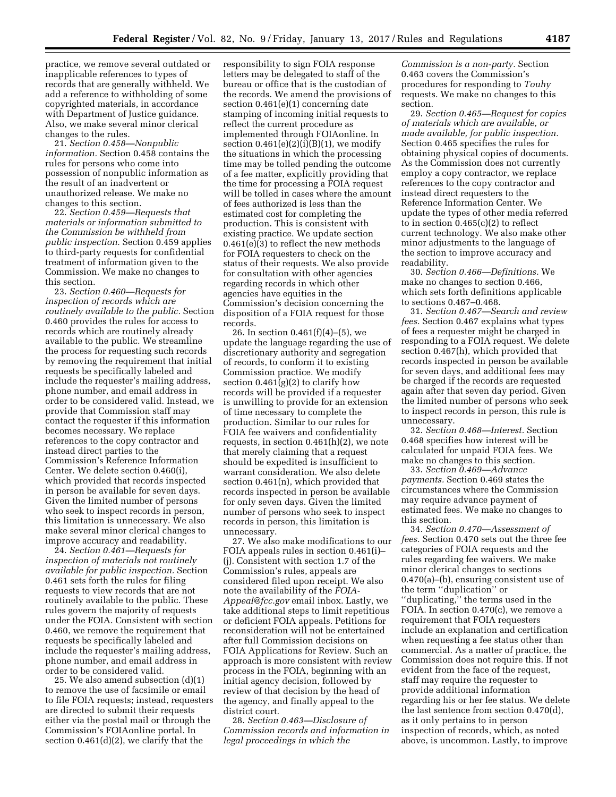practice, we remove several outdated or inapplicable references to types of records that are generally withheld. We add a reference to withholding of some copyrighted materials, in accordance with Department of Justice guidance. Also, we make several minor clerical changes to the rules.

21. *Section 0.458—Nonpublic information.* Section 0.458 contains the rules for persons who come into possession of nonpublic information as the result of an inadvertent or unauthorized release. We make no changes to this section.

22. *Section 0.459—Requests that materials or information submitted to the Commission be withheld from public inspection.* Section 0.459 applies to third-party requests for confidential treatment of information given to the Commission. We make no changes to this section.

23. *Section 0.460—Requests for inspection of records which are routinely available to the public.* Section 0.460 provides the rules for access to records which are routinely already available to the public. We streamline the process for requesting such records by removing the requirement that initial requests be specifically labeled and include the requester's mailing address, phone number, and email address in order to be considered valid. Instead, we provide that Commission staff may contact the requester if this information becomes necessary. We replace references to the copy contractor and instead direct parties to the Commission's Reference Information Center. We delete section 0.460(i), which provided that records inspected in person be available for seven days. Given the limited number of persons who seek to inspect records in person, this limitation is unnecessary. We also make several minor clerical changes to improve accuracy and readability.

24. *Section 0.461—Requests for inspection of materials not routinely available for public inspection.* Section 0.461 sets forth the rules for filing requests to view records that are not routinely available to the public. These rules govern the majority of requests under the FOIA. Consistent with section 0.460, we remove the requirement that requests be specifically labeled and include the requester's mailing address, phone number, and email address in order to be considered valid.

25. We also amend subsection (d)(1) to remove the use of facsimile or email to file FOIA requests; instead, requesters are directed to submit their requests either via the postal mail or through the Commission's FOIAonline portal. In section 0.461(d)(2), we clarify that the

responsibility to sign FOIA response letters may be delegated to staff of the bureau or office that is the custodian of the records. We amend the provisions of section 0.461(e)(1) concerning date stamping of incoming initial requests to reflect the current procedure as implemented through FOIAonline. In section  $0.461(e)(2)(i)(B)(1)$ , we modify the situations in which the processing time may be tolled pending the outcome of a fee matter, explicitly providing that the time for processing a FOIA request will be tolled in cases where the amount of fees authorized is less than the estimated cost for completing the production. This is consistent with existing practice. We update section 0.461(e)(3) to reflect the new methods for FOIA requesters to check on the status of their requests. We also provide for consultation with other agencies regarding records in which other agencies have equities in the Commission's decision concerning the disposition of a FOIA request for those records.

26. In section 0.461(f)(4)–(5), we update the language regarding the use of discretionary authority and segregation of records, to conform it to existing Commission practice. We modify section  $0.461(g)(2)$  to clarify how records will be provided if a requester is unwilling to provide for an extension of time necessary to complete the production. Similar to our rules for FOIA fee waivers and confidentiality requests, in section 0.461(h)(2), we note that merely claiming that a request should be expedited is insufficient to warrant consideration. We also delete section 0.461(n), which provided that records inspected in person be available for only seven days. Given the limited number of persons who seek to inspect records in person, this limitation is unnecessary.

27. We also make modifications to our FOIA appeals rules in section 0.461(i)– (j). Consistent with section 1.7 of the Commission's rules, appeals are considered filed upon receipt. We also note the availability of the *[FOIA-](mailto:FOIA-Appeal@fcc.gov)[Appeal@fcc.gov](mailto:FOIA-Appeal@fcc.gov)* email inbox. Lastly, we take additional steps to limit repetitious or deficient FOIA appeals. Petitions for reconsideration will not be entertained after full Commission decisions on FOIA Applications for Review. Such an approach is more consistent with review process in the FOIA, beginning with an initial agency decision, followed by review of that decision by the head of the agency, and finally appeal to the district court.

28. *Section 0.463—Disclosure of Commission records and information in legal proceedings in which the* 

*Commission is a non-party.* Section 0.463 covers the Commission's procedures for responding to *Touhy*  requests. We make no changes to this section.

29. *Section 0.465—Request for copies of materials which are available, or made available, for public inspection.*  Section 0.465 specifies the rules for obtaining physical copies of documents. As the Commission does not currently employ a copy contractor, we replace references to the copy contractor and instead direct requesters to the Reference Information Center. We update the types of other media referred to in section  $0.465(c)(2)$  to reflect current technology. We also make other minor adjustments to the language of the section to improve accuracy and readability.

30. *Section 0.466—Definitions.* We make no changes to section 0.466, which sets forth definitions applicable to sections 0.467–0.468.

31. *Section 0.467—Search and review fees.* Section 0.467 explains what types of fees a requester might be charged in responding to a FOIA request. We delete section 0.467(h), which provided that records inspected in person be available for seven days, and additional fees may be charged if the records are requested again after that seven day period. Given the limited number of persons who seek to inspect records in person, this rule is unnecessary.

32. *Section 0.468—Interest.* Section 0.468 specifies how interest will be calculated for unpaid FOIA fees. We make no changes to this section.

33. *Section 0.469—Advance payments.* Section 0.469 states the circumstances where the Commission may require advance payment of estimated fees. We make no changes to this section.

34. *Section 0.470—Assessment of fees.* Section 0.470 sets out the three fee categories of FOIA requests and the rules regarding fee waivers. We make minor clerical changes to sections 0.470(a)–(b), ensuring consistent use of the term ''duplication'' or ''duplicating,'' the terms used in the FOIA. In section 0.470(c), we remove a requirement that FOIA requesters include an explanation and certification when requesting a fee status other than commercial. As a matter of practice, the Commission does not require this. If not evident from the face of the request, staff may require the requester to provide additional information regarding his or her fee status. We delete the last sentence from section 0.470(d), as it only pertains to in person inspection of records, which, as noted above, is uncommon. Lastly, to improve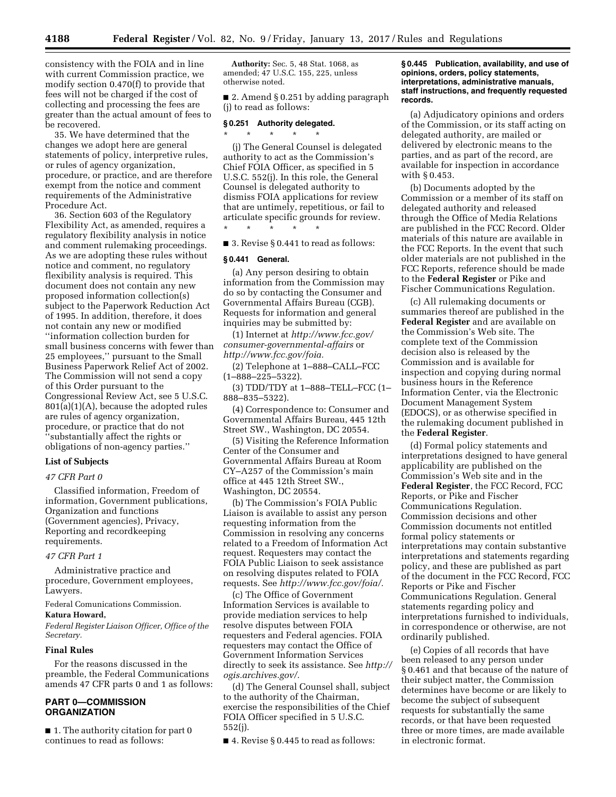consistency with the FOIA and in line with current Commission practice, we modify section 0.470(f) to provide that fees will not be charged if the cost of collecting and processing the fees are greater than the actual amount of fees to be recovered.

35. We have determined that the changes we adopt here are general statements of policy, interpretive rules, or rules of agency organization, procedure, or practice, and are therefore exempt from the notice and comment requirements of the Administrative Procedure Act.

36. Section 603 of the Regulatory Flexibility Act, as amended, requires a regulatory flexibility analysis in notice and comment rulemaking proceedings. As we are adopting these rules without notice and comment, no regulatory flexibility analysis is required. This document does not contain any new proposed information collection(s) subject to the Paperwork Reduction Act of 1995. In addition, therefore, it does not contain any new or modified ''information collection burden for small business concerns with fewer than 25 employees,'' pursuant to the Small Business Paperwork Relief Act of 2002. The Commission will not send a copy of this Order pursuant to the Congressional Review Act, see 5 U.S.C. 801(a)(1)(A), because the adopted rules are rules of agency organization, procedure, or practice that do not ''substantially affect the rights or obligations of non-agency parties.''

#### **List of Subjects**

#### *47 CFR Part 0*

Classified information, Freedom of information, Government publications, Organization and functions (Government agencies), Privacy, Reporting and recordkeeping requirements.

## *47 CFR Part 1*

Administrative practice and procedure, Government employees, Lawyers.

Federal Comunications Commission.

#### **Katura Howard,**

*Federal Register Liaison Officer, Office of the Secretary.* 

#### **Final Rules**

For the reasons discussed in the preamble, the Federal Communications amends 47 CFR parts 0 and 1 as follows:

# **PART 0—COMMISSION ORGANIZATION**

■ 1. The authority citation for part 0 continues to read as follows:

**Authority:** Sec. 5, 48 Stat. 1068, as amended; 47 U.S.C. 155, 225, unless otherwise noted.

■ 2. Amend § 0.251 by adding paragraph (j) to read as follows:

## **§ 0.251 Authority delegated.**  \* \* \* \* \*

(j) The General Counsel is delegated authority to act as the Commission's Chief FOIA Officer, as specified in 5 U.S.C. 552(j). In this role, the General Counsel is delegated authority to dismiss FOIA applications for review that are untimely, repetitious, or fail to articulate specific grounds for review.

\* \* \* \* \*

# ■ 3. Revise § 0.441 to read as follows:

### **§ 0.441 General.**

(a) Any person desiring to obtain information from the Commission may do so by contacting the Consumer and Governmental Affairs Bureau (CGB). Requests for information and general inquiries may be submitted by:

(1) Internet at *[http://www.fcc.gov/](http://www.fcc.gov/consumer-governmental-affairs) [consumer-governmental-affairs](http://www.fcc.gov/consumer-governmental-affairs)* or *[http://www.fcc.gov/foia.](http://www.fcc.gov/foia)* 

(2) Telephone at 1–888–CALL–FCC (1–888–225–5322).

(3) TDD/TDY at 1–888–TELL–FCC (1– 888–835–5322).

(4) Correspondence to: Consumer and Governmental Affairs Bureau, 445 12th Street SW., Washington, DC 20554.

(5) Visiting the Reference Information Center of the Consumer and Governmental Affairs Bureau at Room CY–A257 of the Commission's main office at 445 12th Street SW., Washington, DC 20554.

(b) The Commission's FOIA Public Liaison is available to assist any person requesting information from the Commission in resolving any concerns related to a Freedom of Information Act request. Requesters may contact the FOIA Public Liaison to seek assistance on resolving disputes related to FOIA requests. See *[http://www.fcc.gov/foia/.](http://www.fcc.gov/foia/)* 

(c) The Office of Government Information Services is available to provide mediation services to help resolve disputes between FOIA requesters and Federal agencies. FOIA requesters may contact the Office of Government Information Services directly to seek its assistance. See *[http://](http://ogis.archives.gov/)  [ogis.archives.gov/.](http://ogis.archives.gov/)* 

(d) The General Counsel shall, subject to the authority of the Chairman, exercise the responsibilities of the Chief FOIA Officer specified in 5 U.S.C. 552(j).

■ 4. Revise § 0.445 to read as follows:

## **§ 0.445 Publication, availability, and use of opinions, orders, policy statements, interpretations, administrative manuals, staff instructions, and frequently requested records.**

(a) Adjudicatory opinions and orders of the Commission, or its staff acting on delegated authority, are mailed or delivered by electronic means to the parties, and as part of the record, are available for inspection in accordance with § 0.453.

(b) Documents adopted by the Commission or a member of its staff on delegated authority and released through the Office of Media Relations are published in the FCC Record. Older materials of this nature are available in the FCC Reports. In the event that such older materials are not published in the FCC Reports, reference should be made to the **Federal Register** or Pike and Fischer Communications Regulation.

(c) All rulemaking documents or summaries thereof are published in the **Federal Register** and are available on the Commission's Web site. The complete text of the Commission decision also is released by the Commission and is available for inspection and copying during normal business hours in the Reference Information Center, via the Electronic Document Management System (EDOCS), or as otherwise specified in the rulemaking document published in the **Federal Register**.

(d) Formal policy statements and interpretations designed to have general applicability are published on the Commission's Web site and in the **Federal Register**, the FCC Record, FCC Reports, or Pike and Fischer Communications Regulation. Commission decisions and other Commission documents not entitled formal policy statements or interpretations may contain substantive interpretations and statements regarding policy, and these are published as part of the document in the FCC Record, FCC Reports or Pike and Fischer Communications Regulation. General statements regarding policy and interpretations furnished to individuals, in correspondence or otherwise, are not ordinarily published.

(e) Copies of all records that have been released to any person under § 0.461 and that because of the nature of their subject matter, the Commission determines have become or are likely to become the subject of subsequent requests for substantially the same records, or that have been requested three or more times, are made available in electronic format.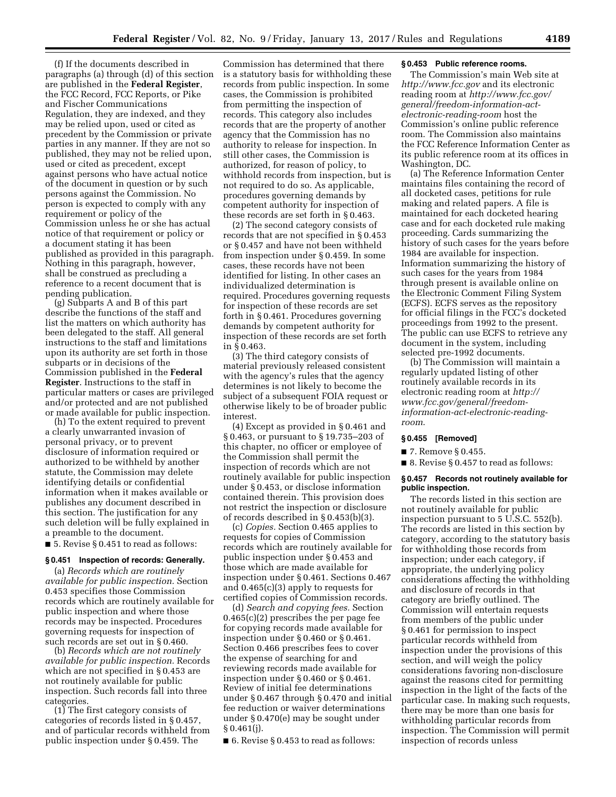(f) If the documents described in paragraphs (a) through (d) of this section are published in the **Federal Register**, the FCC Record, FCC Reports, or Pike and Fischer Communications Regulation, they are indexed, and they may be relied upon, used or cited as precedent by the Commission or private parties in any manner. If they are not so published, they may not be relied upon, used or cited as precedent, except against persons who have actual notice of the document in question or by such persons against the Commission. No person is expected to comply with any requirement or policy of the Commission unless he or she has actual notice of that requirement or policy or a document stating it has been published as provided in this paragraph. Nothing in this paragraph, however, shall be construed as precluding a reference to a recent document that is pending publication.

(g) Subparts A and B of this part describe the functions of the staff and list the matters on which authority has been delegated to the staff. All general instructions to the staff and limitations upon its authority are set forth in those subparts or in decisions of the Commission published in the **Federal Register**. Instructions to the staff in particular matters or cases are privileged and/or protected and are not published or made available for public inspection.

(h) To the extent required to prevent a clearly unwarranted invasion of personal privacy, or to prevent disclosure of information required or authorized to be withheld by another statute, the Commission may delete identifying details or confidential information when it makes available or publishes any document described in this section. The justification for any such deletion will be fully explained in a preamble to the document.

■ 5. Revise § 0.451 to read as follows:

### **§ 0.451 Inspection of records: Generally.**

(a) *Records which are routinely available for public inspection.* Section 0.453 specifies those Commission records which are routinely available for public inspection and where those records may be inspected. Procedures governing requests for inspection of such records are set out in § 0.460.

(b) *Records which are not routinely available for public inspection.* Records which are not specified in § 0.453 are not routinely available for public inspection. Such records fall into three categories.

(1) The first category consists of categories of records listed in § 0.457, and of particular records withheld from public inspection under § 0.459. The

Commission has determined that there is a statutory basis for withholding these records from public inspection. In some cases, the Commission is prohibited from permitting the inspection of records. This category also includes records that are the property of another agency that the Commission has no authority to release for inspection. In still other cases, the Commission is authorized, for reason of policy, to withhold records from inspection, but is not required to do so. As applicable, procedures governing demands by competent authority for inspection of these records are set forth in § 0.463.

(2) The second category consists of records that are not specified in § 0.453 or § 0.457 and have not been withheld from inspection under § 0.459. In some cases, these records have not been identified for listing. In other cases an individualized determination is required. Procedures governing requests for inspection of these records are set forth in § 0.461. Procedures governing demands by competent authority for inspection of these records are set forth in § 0.463.

(3) The third category consists of material previously released consistent with the agency's rules that the agency determines is not likely to become the subject of a subsequent FOIA request or otherwise likely to be of broader public interest.

(4) Except as provided in § 0.461 and § 0.463, or pursuant to § 19.735–203 of this chapter, no officer or employee of the Commission shall permit the inspection of records which are not routinely available for public inspection under § 0.453, or disclose information contained therein. This provision does not restrict the inspection or disclosure of records described in § 0.453(b)(3).

(c) *Copies.* Section 0.465 applies to requests for copies of Commission records which are routinely available for public inspection under § 0.453 and those which are made available for inspection under § 0.461. Sections 0.467 and 0.465(c)(3) apply to requests for certified copies of Commission records.

(d) *Search and copying fees.* Section 0.465(c)(2) prescribes the per page fee for copying records made available for inspection under § 0.460 or § 0.461. Section 0.466 prescribes fees to cover the expense of searching for and reviewing records made available for inspection under § 0.460 or § 0.461. Review of initial fee determinations under § 0.467 through § 0.470 and initial fee reduction or waiver determinations under § 0.470(e) may be sought under  $§ 0.461(j).$ 

■ 6. Revise § 0.453 to read as follows:

#### **§ 0.453 Public reference rooms.**

The Commission's main Web site at *<http://www.fcc.gov>* and its electronic reading room at *[http://www.fcc.gov/](http://www.fcc.gov/general/freedom-information-act-electronic-reading-room) [general/freedom-information-act](http://www.fcc.gov/general/freedom-information-act-electronic-reading-room)[electronic-reading-room](http://www.fcc.gov/general/freedom-information-act-electronic-reading-room)* host the Commission's online public reference room. The Commission also maintains the FCC Reference Information Center as its public reference room at its offices in Washington, DC.

(a) The Reference Information Center maintains files containing the record of all docketed cases, petitions for rule making and related papers. A file is maintained for each docketed hearing case and for each docketed rule making proceeding. Cards summarizing the history of such cases for the years before 1984 are available for inspection. Information summarizing the history of such cases for the years from 1984 through present is available online on the Electronic Comment Filing System (ECFS). ECFS serves as the repository for official filings in the FCC's docketed proceedings from 1992 to the present. The public can use ECFS to retrieve any document in the system, including selected pre-1992 documents.

(b) The Commission will maintain a regularly updated listing of other routinely available records in its electronic reading room at *[http://](http://www.fcc.gov/general/freedom-information-act-electronic-reading-room) [www.fcc.gov/general/freedom](http://www.fcc.gov/general/freedom-information-act-electronic-reading-room)[information-act-electronic-reading](http://www.fcc.gov/general/freedom-information-act-electronic-reading-room)[room](http://www.fcc.gov/general/freedom-information-act-electronic-reading-room)*.

## **§ 0.455 [Removed]**

■ 7. Remove § 0.455.

■ 8. Revise § 0.457 to read as follows:

## **§ 0.457 Records not routinely available for public inspection.**

The records listed in this section are not routinely available for public inspection pursuant to 5 U.S.C. 552(b). The records are listed in this section by category, according to the statutory basis for withholding those records from inspection; under each category, if appropriate, the underlying policy considerations affecting the withholding and disclosure of records in that category are briefly outlined. The Commission will entertain requests from members of the public under § 0.461 for permission to inspect particular records withheld from inspection under the provisions of this section, and will weigh the policy considerations favoring non-disclosure against the reasons cited for permitting inspection in the light of the facts of the particular case. In making such requests, there may be more than one basis for withholding particular records from inspection. The Commission will permit inspection of records unless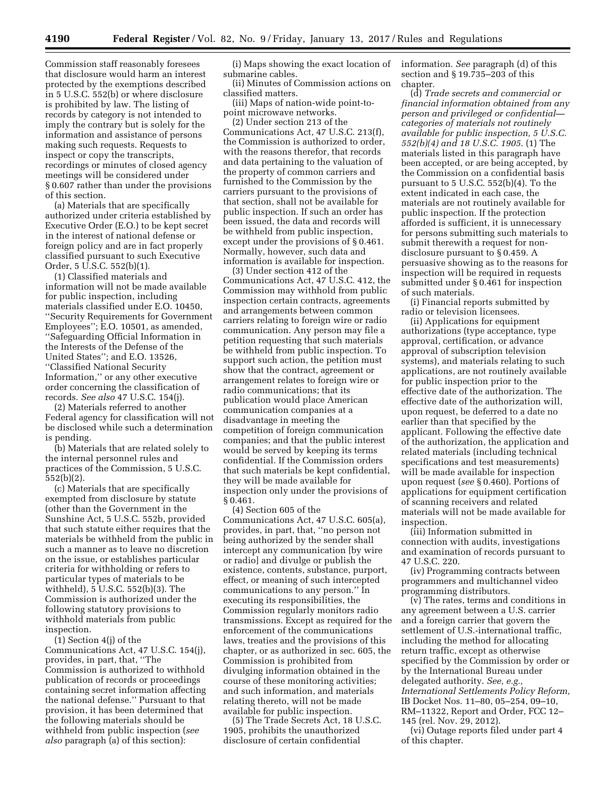Commission staff reasonably foresees that disclosure would harm an interest protected by the exemptions described in 5 U.S.C. 552(b) or where disclosure is prohibited by law. The listing of records by category is not intended to imply the contrary but is solely for the information and assistance of persons making such requests. Requests to inspect or copy the transcripts, recordings or minutes of closed agency meetings will be considered under § 0.607 rather than under the provisions of this section.

(a) Materials that are specifically authorized under criteria established by Executive Order (E.O.) to be kept secret in the interest of national defense or foreign policy and are in fact properly classified pursuant to such Executive Order, 5 U.S.C. 552(b)(1).

(1) Classified materials and information will not be made available for public inspection, including materials classified under E.O. 10450, ''Security Requirements for Government Employees''; E.O. 10501, as amended, ''Safeguarding Official Information in the Interests of the Defense of the United States''; and E.O. 13526, ''Classified National Security Information,'' or any other executive order concerning the classification of records. *See also* 47 U.S.C. 154(j).

(2) Materials referred to another Federal agency for classification will not be disclosed while such a determination is pending.

(b) Materials that are related solely to the internal personnel rules and practices of the Commission, 5 U.S.C. 552(b)(2).

(c) Materials that are specifically exempted from disclosure by statute (other than the Government in the Sunshine Act, 5 U.S.C. 552b, provided that such statute either requires that the materials be withheld from the public in such a manner as to leave no discretion on the issue, or establishes particular criteria for withholding or refers to particular types of materials to be withheld), 5 U.S.C. 552(b)(3). The Commission is authorized under the following statutory provisions to withhold materials from public inspection.

(1) Section 4(j) of the Communications Act, 47 U.S.C. 154(j), provides, in part, that, ''The Commission is authorized to withhold publication of records or proceedings containing secret information affecting the national defense.'' Pursuant to that provision, it has been determined that the following materials should be withheld from public inspection (*see also* paragraph (a) of this section):

(i) Maps showing the exact location of submarine cables.

(ii) Minutes of Commission actions on classified matters.

(iii) Maps of nation-wide point-topoint microwave networks.

(2) Under section 213 of the Communications Act, 47 U.S.C. 213(f), the Commission is authorized to order, with the reasons therefor, that records and data pertaining to the valuation of the property of common carriers and furnished to the Commission by the carriers pursuant to the provisions of that section, shall not be available for public inspection. If such an order has been issued, the data and records will be withheld from public inspection, except under the provisions of § 0.461. Normally, however, such data and information is available for inspection.

(3) Under section 412 of the Communications Act, 47 U.S.C. 412, the Commission may withhold from public inspection certain contracts, agreements and arrangements between common carriers relating to foreign wire or radio communication. Any person may file a petition requesting that such materials be withheld from public inspection. To support such action, the petition must show that the contract, agreement or arrangement relates to foreign wire or radio communications; that its publication would place American communication companies at a disadvantage in meeting the competition of foreign communication companies; and that the public interest would be served by keeping its terms confidential. If the Commission orders that such materials be kept confidential, they will be made available for inspection only under the provisions of § 0.461.

(4) Section 605 of the Communications Act, 47 U.S.C. 605(a), provides, in part, that, ''no person not being authorized by the sender shall intercept any communication [by wire or radio] and divulge or publish the existence, contents, substance, purport, effect, or meaning of such intercepted communications to any person.'' In executing its responsibilities, the Commission regularly monitors radio transmissions. Except as required for the enforcement of the communications laws, treaties and the provisions of this chapter, or as authorized in sec. 605, the Commission is prohibited from divulging information obtained in the course of these monitoring activities; and such information, and materials relating thereto, will not be made available for public inspection.

(5) The Trade Secrets Act, 18 U.S.C. 1905, prohibits the unauthorized disclosure of certain confidential

information. *See* paragraph (d) of this section and § 19.735–203 of this chapter.

(d) *Trade secrets and commercial or financial information obtained from any person and privileged or confidential categories of materials not routinely available for public inspection, 5 U.S.C. 552(b)(4) and 18 U.S.C. 1905*. (1) The materials listed in this paragraph have been accepted, or are being accepted, by the Commission on a confidential basis pursuant to 5 U.S.C. 552(b)(4). To the extent indicated in each case, the materials are not routinely available for public inspection. If the protection afforded is sufficient, it is unnecessary for persons submitting such materials to submit therewith a request for nondisclosure pursuant to § 0.459. A persuasive showing as to the reasons for inspection will be required in requests submitted under § 0.461 for inspection of such materials.

(i) Financial reports submitted by radio or television licensees.

(ii) Applications for equipment authorizations (type acceptance, type approval, certification, or advance approval of subscription television systems), and materials relating to such applications, are not routinely available for public inspection prior to the effective date of the authorization. The effective date of the authorization will, upon request, be deferred to a date no earlier than that specified by the applicant. Following the effective date of the authorization, the application and related materials (including technical specifications and test measurements) will be made available for inspection upon request (*see* § 0.460). Portions of applications for equipment certification of scanning receivers and related materials will not be made available for inspection.

(iii) Information submitted in connection with audits, investigations and examination of records pursuant to 47 U.S.C. 220.

(iv) Programming contracts between programmers and multichannel video programming distributors.

(v) The rates, terms and conditions in any agreement between a U.S. carrier and a foreign carrier that govern the settlement of U.S.-international traffic, including the method for allocating return traffic, except as otherwise specified by the Commission by order or by the International Bureau under delegated authority. *See, e.g., International Settlements Policy Reform,*  IB Docket Nos. 11–80, 05–254, 09–10, RM–11322, Report and Order, FCC 12– 145 (rel. Nov. 29, 2012).

(vi) Outage reports filed under part 4 of this chapter.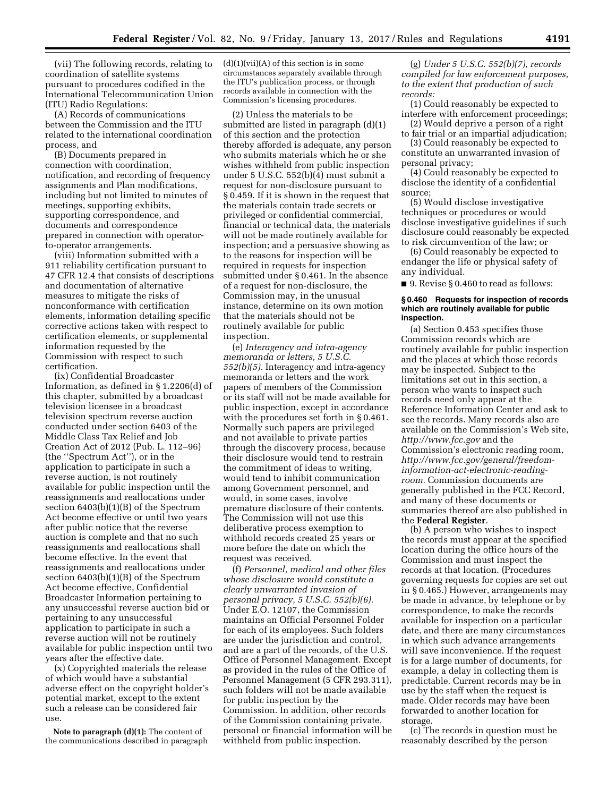(vii) The following records, relating to coordination of satellite systems pursuant to procedures codified in the International Telecommunication Union (ITU) Radio Regulations:

(A) Records of communications between the Commission and the ITU related to the international coordination process, and

(B) Documents prepared in connection with coordination, notification, and recording of frequency assignments and Plan modifications, including but not limited to minutes of meetings, supporting exhibits, supporting correspondence, and documents and correspondence prepared in connection with operatorto-operator arrangements.

(viii) Information submitted with a 911 reliability certification pursuant to 47 CFR 12.4 that consists of descriptions and documentation of alternative measures to mitigate the risks of nonconformance with certification elements, information detailing specific corrective actions taken with respect to certification elements, or supplemental information requested by the Commission with respect to such certification.

(ix) Confidential Broadcaster Information, as defined in § 1.2206(d) of this chapter, submitted by a broadcast television licensee in a broadcast television spectrum reverse auction conducted under section 6403 of the Middle Class Tax Relief and Job Creation Act of 2012 (Pub. L. 112–96) (the ''Spectrum Act''), or in the application to participate in such a reverse auction, is not routinely available for public inspection until the reassignments and reallocations under section 6403(b)(1)(B) of the Spectrum Act become effective or until two years after public notice that the reverse auction is complete and that no such reassignments and reallocations shall become effective. In the event that reassignments and reallocations under section 6403(b)(1)(B) of the Spectrum Act become effective, Confidential Broadcaster Information pertaining to any unsuccessful reverse auction bid or pertaining to any unsuccessful application to participate in such a reverse auction will not be routinely available for public inspection until two years after the effective date.

(x) Copyrighted materials the release of which would have a substantial adverse effect on the copyright holder's potential market, except to the extent such a release can be considered fair use.

**Note to paragraph (d)(1):** The content of the communications described in paragraph  $(d)(1)(vii)(A)$  of this section is in some circumstances separately available through the ITU's publication process, or through records available in connection with the Commission's licensing procedures.

(2) Unless the materials to be submitted are listed in paragraph (d)(1) of this section and the protection thereby afforded is adequate, any person who submits materials which he or she wishes withheld from public inspection under 5 U.S.C. 552(b)(4) must submit a request for non-disclosure pursuant to § 0.459. If it is shown in the request that the materials contain trade secrets or privileged or confidential commercial, financial or technical data, the materials will not be made routinely available for inspection; and a persuasive showing as to the reasons for inspection will be required in requests for inspection submitted under § 0.461. In the absence of a request for non-disclosure, the Commission may, in the unusual instance, determine on its own motion that the materials should not be routinely available for public inspection.

(e) *Interagency and intra-agency memoranda or letters, 5 U.S.C. 552(b)(5).* Interagency and intra-agency memoranda or letters and the work papers of members of the Commission or its staff will not be made available for public inspection, except in accordance with the procedures set forth in § 0.461. Normally such papers are privileged and not available to private parties through the discovery process, because their disclosure would tend to restrain the commitment of ideas to writing, would tend to inhibit communication among Government personnel, and would, in some cases, involve premature disclosure of their contents. The Commission will not use this deliberative process exemption to withhold records created 25 years or more before the date on which the request was received.

(f) *Personnel, medical and other files whose disclosure would constitute a clearly unwarranted invasion of personal privacy, 5 U.S.C. 552(b)(6).*  Under E.O. 12107, the Commission maintains an Official Personnel Folder for each of its employees. Such folders are under the jurisdiction and control, and are a part of the records, of the U.S. Office of Personnel Management. Except as provided in the rules of the Office of Personnel Management (5 CFR 293.311), such folders will not be made available for public inspection by the Commission. In addition, other records of the Commission containing private, personal or financial information will be withheld from public inspection.

(g) *Under 5 U.S.C. 552(b)(7), records compiled for law enforcement purposes, to the extent that production of such records:* 

(1) Could reasonably be expected to interfere with enforcement proceedings;

(2) Would deprive a person of a right to fair trial or an impartial adjudication;

(3) Could reasonably be expected to constitute an unwarranted invasion of personal privacy;

(4) Could reasonably be expected to disclose the identity of a confidential source;

(5) Would disclose investigative techniques or procedures or would disclose investigative guidelines if such disclosure could reasonably be expected to risk circumvention of the law; or

(6) Could reasonably be expected to endanger the life or physical safety of any individual.

■ 9. Revise § 0.460 to read as follows:

#### **§ 0.460 Requests for inspection of records which are routinely available for public inspection.**

(a) Section 0.453 specifies those Commission records which are routinely available for public inspection and the places at which those records may be inspected. Subject to the limitations set out in this section, a person who wants to inspect such records need only appear at the Reference Information Center and ask to see the records. Many records also are available on the Commission's Web site, *<http://www.fcc.gov>* and the Commission's electronic reading room, *[http://www.fcc.gov/general/freedom](http://www.fcc.gov/general/freedom-information-act-electronic-reading-room)information-act-electronic-reading[room.](http://www.fcc.gov/general/freedom-information-act-electronic-reading-room)* Commission documents are generally published in the FCC Record, and many of these documents or summaries thereof are also published in the **Federal Register**.

(b) A person who wishes to inspect the records must appear at the specified location during the office hours of the Commission and must inspect the records at that location. (Procedures governing requests for copies are set out in § 0.465.) However, arrangements may be made in advance, by telephone or by correspondence, to make the records available for inspection on a particular date, and there are many circumstances in which such advance arrangements will save inconvenience. If the request is for a large number of documents, for example, a delay in collecting them is predictable. Current records may be in use by the staff when the request is made. Older records may have been forwarded to another location for storage.

(c) The records in question must be reasonably described by the person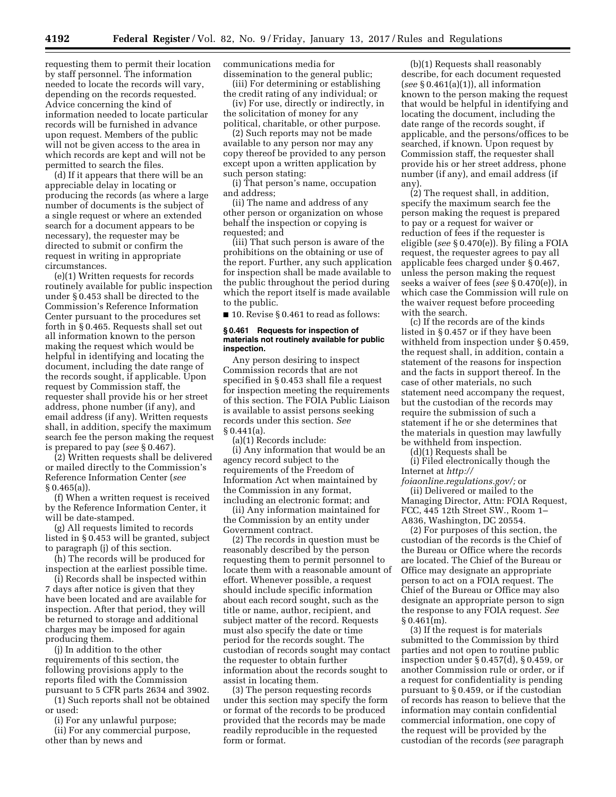requesting them to permit their location by staff personnel. The information needed to locate the records will vary, depending on the records requested. Advice concerning the kind of information needed to locate particular records will be furnished in advance upon request. Members of the public will not be given access to the area in which records are kept and will not be permitted to search the files.

(d) If it appears that there will be an appreciable delay in locating or producing the records (as where a large number of documents is the subject of a single request or where an extended search for a document appears to be necessary), the requester may be directed to submit or confirm the request in writing in appropriate circumstances.

(e)(1) Written requests for records routinely available for public inspection under § 0.453 shall be directed to the Commission's Reference Information Center pursuant to the procedures set forth in § 0.465. Requests shall set out all information known to the person making the request which would be helpful in identifying and locating the document, including the date range of the records sought, if applicable. Upon request by Commission staff, the requester shall provide his or her street address, phone number (if any), and email address (if any). Written requests shall, in addition, specify the maximum search fee the person making the request is prepared to pay (*see* § 0.467).

(2) Written requests shall be delivered or mailed directly to the Commission's Reference Information Center (*see*   $§ 0.465(a)$ ).

(f) When a written request is received by the Reference Information Center, it will be date-stamped.

(g) All requests limited to records listed in § 0.453 will be granted, subject to paragraph (j) of this section.

(h) The records will be produced for inspection at the earliest possible time.

(i) Records shall be inspected within 7 days after notice is given that they have been located and are available for inspection. After that period, they will be returned to storage and additional charges may be imposed for again producing them.

(j) In addition to the other requirements of this section, the following provisions apply to the reports filed with the Commission pursuant to 5 CFR parts 2634 and 3902.

(1) Such reports shall not be obtained or used:

(i) For any unlawful purpose;

(ii) For any commercial purpose, other than by news and

communications media for dissemination to the general public;

(iii) For determining or establishing the credit rating of any individual; or

(iv) For use, directly or indirectly, in the solicitation of money for any

political, charitable, or other purpose. (2) Such reports may not be made

available to any person nor may any copy thereof be provided to any person except upon a written application by such person stating:

(i) That person's name, occupation and address;

(ii) The name and address of any other person or organization on whose behalf the inspection or copying is requested; and

(iii) That such person is aware of the prohibitions on the obtaining or use of the report. Further, any such application for inspection shall be made available to the public throughout the period during which the report itself is made available to the public.

■ 10. Revise § 0.461 to read as follows:

#### **§ 0.461 Requests for inspection of materials not routinely available for public inspection.**

Any person desiring to inspect Commission records that are not specified in § 0.453 shall file a request for inspection meeting the requirements of this section. The FOIA Public Liaison is available to assist persons seeking records under this section. *See*  § 0.441(a).

(a)(1) Records include:

(i) Any information that would be an agency record subject to the requirements of the Freedom of Information Act when maintained by the Commission in any format, including an electronic format; and

(ii) Any information maintained for the Commission by an entity under Government contract.

(2) The records in question must be reasonably described by the person requesting them to permit personnel to locate them with a reasonable amount of effort. Whenever possible, a request should include specific information about each record sought, such as the title or name, author, recipient, and subject matter of the record. Requests must also specify the date or time period for the records sought. The custodian of records sought may contact the requester to obtain further information about the records sought to assist in locating them.

(3) The person requesting records under this section may specify the form or format of the records to be produced provided that the records may be made readily reproducible in the requested form or format.

(b)(1) Requests shall reasonably describe, for each document requested (*see* § 0.461(a)(1)), all information known to the person making the request that would be helpful in identifying and locating the document, including the date range of the records sought, if applicable, and the persons/offices to be searched, if known. Upon request by Commission staff, the requester shall provide his or her street address, phone number (if any), and email address (if any).

(2) The request shall, in addition, specify the maximum search fee the person making the request is prepared to pay or a request for waiver or reduction of fees if the requester is eligible (*see* § 0.470(e)). By filing a FOIA request, the requester agrees to pay all applicable fees charged under § 0.467, unless the person making the request seeks a waiver of fees (*see* § 0.470(e)), in which case the Commission will rule on the waiver request before proceeding with the search.

(c) If the records are of the kinds listed in § 0.457 or if they have been withheld from inspection under § 0.459, the request shall, in addition, contain a statement of the reasons for inspection and the facts in support thereof. In the case of other materials, no such statement need accompany the request, but the custodian of the records may require the submission of such a statement if he or she determines that the materials in question may lawfully be withheld from inspection.

(d)(1) Requests shall be

(i) Filed electronically though the Internet at *[http://](http://foiaonline.regulations.gov/)*

*[foiaonline.regulations.gov/;](http://foiaonline.regulations.gov/)* or (ii) Delivered or mailed to the Managing Director, Attn: FOIA Request, FCC, 445 12th Street SW., Room 1– A836, Washington, DC 20554.

(2) For purposes of this section, the custodian of the records is the Chief of the Bureau or Office where the records are located. The Chief of the Bureau or Office may designate an appropriate person to act on a FOIA request. The Chief of the Bureau or Office may also designate an appropriate person to sign the response to any FOIA request. *See*   $§ 0.461(m).$ 

(3) If the request is for materials submitted to the Commission by third parties and not open to routine public inspection under § 0.457(d), § 0.459, or another Commission rule or order, or if a request for confidentiality is pending pursuant to § 0.459, or if the custodian of records has reason to believe that the information may contain confidential commercial information, one copy of the request will be provided by the custodian of the records (*see* paragraph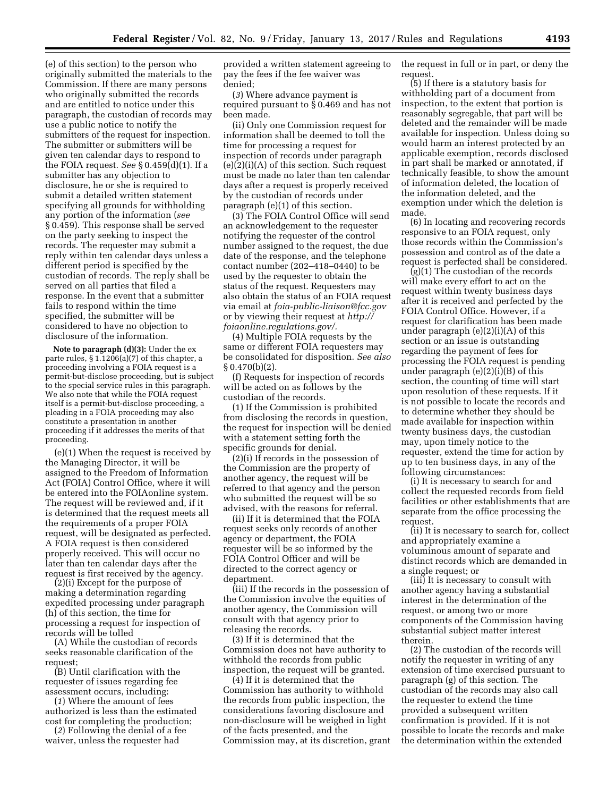(e) of this section) to the person who originally submitted the materials to the Commission. If there are many persons who originally submitted the records and are entitled to notice under this paragraph, the custodian of records may use a public notice to notify the submitters of the request for inspection. The submitter or submitters will be given ten calendar days to respond to the FOIA request. *See* § 0.459(d)(1). If a submitter has any objection to disclosure, he or she is required to submit a detailed written statement specifying all grounds for withholding any portion of the information (*see*  § 0.459). This response shall be served on the party seeking to inspect the records. The requester may submit a reply within ten calendar days unless a different period is specified by the custodian of records. The reply shall be served on all parties that filed a response. In the event that a submitter fails to respond within the time specified, the submitter will be considered to have no objection to disclosure of the information.

**Note to paragraph (d)(3):** Under the ex parte rules, § 1.1206(a)(7) of this chapter, a proceeding involving a FOIA request is a permit-but-disclose proceeding, but is subject to the special service rules in this paragraph. We also note that while the FOIA request itself is a permit-but-disclose proceeding, a pleading in a FOIA proceeding may also constitute a presentation in another proceeding if it addresses the merits of that proceeding.

(e)(1) When the request is received by the Managing Director, it will be assigned to the Freedom of Information Act (FOIA) Control Office, where it will be entered into the FOIAonline system. The request will be reviewed and, if it is determined that the request meets all the requirements of a proper FOIA request, will be designated as perfected. A FOIA request is then considered properly received. This will occur no later than ten calendar days after the request is first received by the agency.

(2)(i) Except for the purpose of making a determination regarding expedited processing under paragraph (h) of this section, the time for processing a request for inspection of records will be tolled

(A) While the custodian of records seeks reasonable clarification of the request;

(B) Until clarification with the requester of issues regarding fee assessment occurs, including:

(*1*) Where the amount of fees authorized is less than the estimated cost for completing the production;

(*2*) Following the denial of a fee waiver, unless the requester had

provided a written statement agreeing to pay the fees if the fee waiver was denied;

(*3*) Where advance payment is required pursuant to § 0.469 and has not been made.

(ii) Only one Commission request for information shall be deemed to toll the time for processing a request for inspection of records under paragraph (e)(2)(i)(A) of this section. Such request must be made no later than ten calendar days after a request is properly received by the custodian of records under paragraph (e)(1) of this section.

(3) The FOIA Control Office will send an acknowledgement to the requester notifying the requester of the control number assigned to the request, the due date of the response, and the telephone contact number (202–418–0440) to be used by the requester to obtain the status of the request. Requesters may also obtain the status of an FOIA request via email at *[foia-public-liaison@fcc.gov](mailto:foia-public-liaison@fcc.gov)*  or by viewing their request at *[http://](http://foiaonline.regulations.gov/) [foiaonline.regulations.gov/.](http://foiaonline.regulations.gov/)* 

(4) Multiple FOIA requests by the same or different FOIA requesters may be consolidated for disposition. *See also*   $§ 0.470(b)(2).$ 

(f) Requests for inspection of records will be acted on as follows by the custodian of the records.

(1) If the Commission is prohibited from disclosing the records in question, the request for inspection will be denied with a statement setting forth the specific grounds for denial.

(2)(i) If records in the possession of the Commission are the property of another agency, the request will be referred to that agency and the person who submitted the request will be so advised, with the reasons for referral.

(ii) If it is determined that the FOIA request seeks only records of another agency or department, the FOIA requester will be so informed by the FOIA Control Officer and will be directed to the correct agency or department.

(iii) If the records in the possession of the Commission involve the equities of another agency, the Commission will consult with that agency prior to releasing the records.

(3) If it is determined that the Commission does not have authority to withhold the records from public inspection, the request will be granted.

(4) If it is determined that the Commission has authority to withhold the records from public inspection, the considerations favoring disclosure and non-disclosure will be weighed in light of the facts presented, and the Commission may, at its discretion, grant the request in full or in part, or deny the request.

(5) If there is a statutory basis for withholding part of a document from inspection, to the extent that portion is reasonably segregable, that part will be deleted and the remainder will be made available for inspection. Unless doing so would harm an interest protected by an applicable exemption, records disclosed in part shall be marked or annotated, if technically feasible, to show the amount of information deleted, the location of the information deleted, and the exemption under which the deletion is made.

(6) In locating and recovering records responsive to an FOIA request, only those records within the Commission's possession and control as of the date a request is perfected shall be considered.

(g)(1) The custodian of the records will make every effort to act on the request within twenty business days after it is received and perfected by the FOIA Control Office. However, if a request for clarification has been made under paragraph  $(e)(2)(i)(A)$  of this section or an issue is outstanding regarding the payment of fees for processing the FOIA request is pending under paragraph (e)(2)(i)(B) of this section, the counting of time will start upon resolution of these requests. If it is not possible to locate the records and to determine whether they should be made available for inspection within twenty business days, the custodian may, upon timely notice to the requester, extend the time for action by up to ten business days, in any of the following circumstances:

(i) It is necessary to search for and collect the requested records from field facilities or other establishments that are separate from the office processing the request.

(ii) It is necessary to search for, collect and appropriately examine a voluminous amount of separate and distinct records which are demanded in a single request; or

(iii) It is necessary to consult with another agency having a substantial interest in the determination of the request, or among two or more components of the Commission having substantial subject matter interest therein.

(2) The custodian of the records will notify the requester in writing of any extension of time exercised pursuant to paragraph (g) of this section. The custodian of the records may also call the requester to extend the time provided a subsequent written confirmation is provided. If it is not possible to locate the records and make the determination within the extended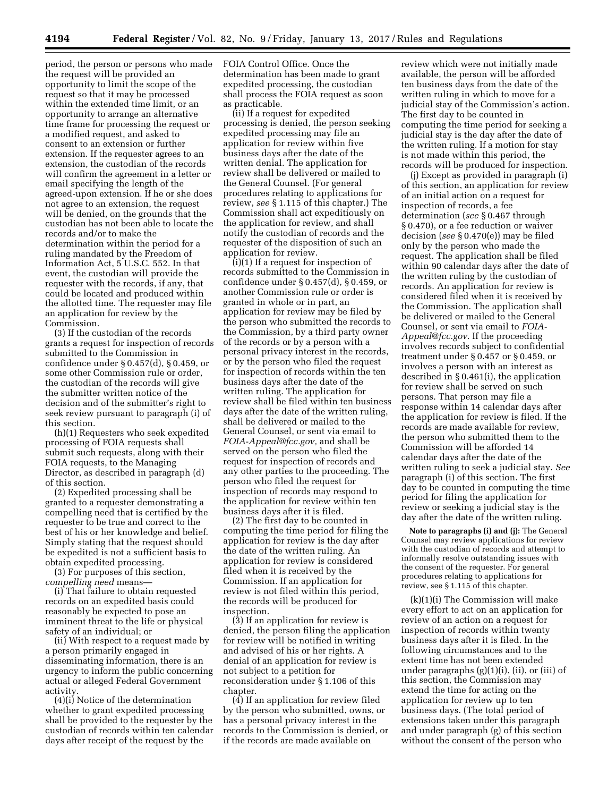period, the person or persons who made the request will be provided an opportunity to limit the scope of the request so that it may be processed within the extended time limit, or an opportunity to arrange an alternative time frame for processing the request or a modified request, and asked to consent to an extension or further extension. If the requester agrees to an extension, the custodian of the records will confirm the agreement in a letter or email specifying the length of the agreed-upon extension. If he or she does not agree to an extension, the request will be denied, on the grounds that the custodian has not been able to locate the records and/or to make the determination within the period for a ruling mandated by the Freedom of Information Act, 5 U.S.C. 552. In that event, the custodian will provide the requester with the records, if any, that could be located and produced within the allotted time. The requester may file an application for review by the Commission.

(3) If the custodian of the records grants a request for inspection of records submitted to the Commission in confidence under § 0.457(d), § 0.459, or some other Commission rule or order, the custodian of the records will give the submitter written notice of the decision and of the submitter's right to seek review pursuant to paragraph (i) of this section.

(h)(1) Requesters who seek expedited processing of FOIA requests shall submit such requests, along with their FOIA requests, to the Managing Director, as described in paragraph (d) of this section.

(2) Expedited processing shall be granted to a requester demonstrating a compelling need that is certified by the requester to be true and correct to the best of his or her knowledge and belief. Simply stating that the request should be expedited is not a sufficient basis to obtain expedited processing.

(3) For purposes of this section, *compelling need* means—

(i) That failure to obtain requested records on an expedited basis could reasonably be expected to pose an imminent threat to the life or physical safety of an individual; or

(ii) With respect to a request made by a person primarily engaged in disseminating information, there is an urgency to inform the public concerning actual or alleged Federal Government activity.

(4)(i) Notice of the determination whether to grant expedited processing shall be provided to the requester by the custodian of records within ten calendar days after receipt of the request by the

FOIA Control Office. Once the determination has been made to grant expedited processing, the custodian shall process the FOIA request as soon as practicable.

(ii) If a request for expedited processing is denied, the person seeking expedited processing may file an application for review within five business days after the date of the written denial. The application for review shall be delivered or mailed to the General Counsel. (For general procedures relating to applications for review, *see* § 1.115 of this chapter.) The Commission shall act expeditiously on the application for review, and shall notify the custodian of records and the requester of the disposition of such an application for review.

(i)(1) If a request for inspection of records submitted to the Commission in confidence under § 0.457(d), § 0.459, or another Commission rule or order is granted in whole or in part, an application for review may be filed by the person who submitted the records to the Commission, by a third party owner of the records or by a person with a personal privacy interest in the records, or by the person who filed the request for inspection of records within the ten business days after the date of the written ruling. The application for review shall be filed within ten business days after the date of the written ruling, shall be delivered or mailed to the General Counsel, or sent via email to *[FOIA-Appeal@fcc.gov,](mailto:FOIA-Appeal@fcc.gov)* and shall be served on the person who filed the request for inspection of records and any other parties to the proceeding. The person who filed the request for inspection of records may respond to the application for review within ten business days after it is filed.

(2) The first day to be counted in computing the time period for filing the application for review is the day after the date of the written ruling. An application for review is considered filed when it is received by the Commission. If an application for review is not filed within this period, the records will be produced for inspection.

(3) If an application for review is denied, the person filing the application for review will be notified in writing and advised of his or her rights. A denial of an application for review is not subject to a petition for reconsideration under § 1.106 of this chapter.

(4) If an application for review filed by the person who submitted, owns, or has a personal privacy interest in the records to the Commission is denied, or if the records are made available on

review which were not initially made available, the person will be afforded ten business days from the date of the written ruling in which to move for a judicial stay of the Commission's action. The first day to be counted in computing the time period for seeking a judicial stay is the day after the date of the written ruling. If a motion for stay is not made within this period, the records will be produced for inspection.

(j) Except as provided in paragraph (i) of this section, an application for review of an initial action on a request for inspection of records, a fee determination (*see* § 0.467 through § 0.470), or a fee reduction or waiver decision (*see* § 0.470(e)) may be filed only by the person who made the request. The application shall be filed within 90 calendar days after the date of the written ruling by the custodian of records. An application for review is considered filed when it is received by the Commission. The application shall be delivered or mailed to the General Counsel, or sent via email to *[FOIA-](mailto:FOIA-Appeal@fcc.gov)[Appeal@fcc.gov.](mailto:FOIA-Appeal@fcc.gov)* If the proceeding involves records subject to confidential treatment under § 0.457 or § 0.459, or involves a person with an interest as described in § 0.461(i), the application for review shall be served on such persons. That person may file a response within 14 calendar days after the application for review is filed. If the records are made available for review, the person who submitted them to the Commission will be afforded 14 calendar days after the date of the written ruling to seek a judicial stay. *See*  paragraph (i) of this section. The first day to be counted in computing the time period for filing the application for review or seeking a judicial stay is the day after the date of the written ruling.

**Note to paragraphs (i) and (j):** The General Counsel may review applications for review with the custodian of records and attempt to informally resolve outstanding issues with the consent of the requester. For general procedures relating to applications for review, see § 1.115 of this chapter.

(k)(1)(i) The Commission will make every effort to act on an application for review of an action on a request for inspection of records within twenty business days after it is filed. In the following circumstances and to the extent time has not been extended under paragraphs (g)(1)(i), (ii), or (iii) of this section, the Commission may extend the time for acting on the application for review up to ten business days. (The total period of extensions taken under this paragraph and under paragraph (g) of this section without the consent of the person who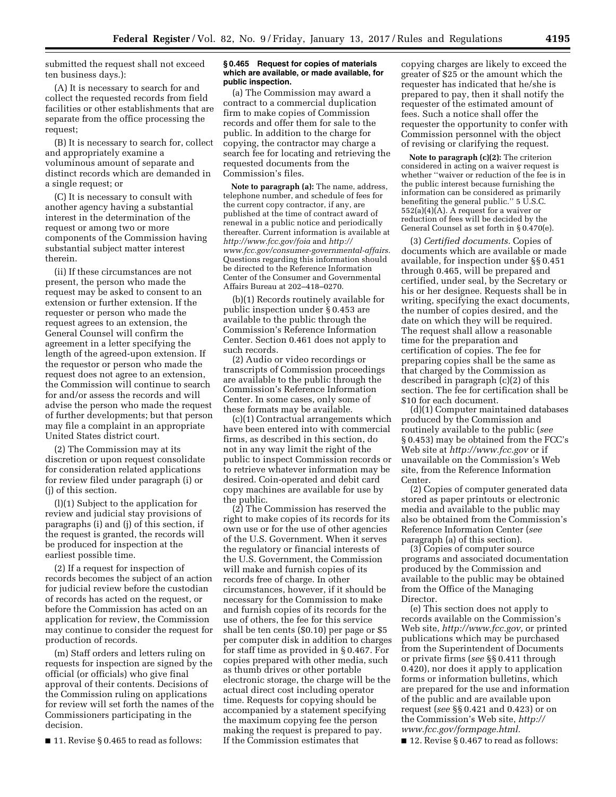submitted the request shall not exceed ten business days.):

(A) It is necessary to search for and collect the requested records from field facilities or other establishments that are separate from the office processing the request;

(B) It is necessary to search for, collect and appropriately examine a voluminous amount of separate and distinct records which are demanded in a single request; or

(C) It is necessary to consult with another agency having a substantial interest in the determination of the request or among two or more components of the Commission having substantial subject matter interest therein.

(ii) If these circumstances are not present, the person who made the request may be asked to consent to an extension or further extension. If the requester or person who made the request agrees to an extension, the General Counsel will confirm the agreement in a letter specifying the length of the agreed-upon extension. If the requestor or person who made the request does not agree to an extension, the Commission will continue to search for and/or assess the records and will advise the person who made the request of further developments; but that person may file a complaint in an appropriate United States district court.

(2) The Commission may at its discretion or upon request consolidate for consideration related applications for review filed under paragraph (i) or (j) of this section.

(l)(1) Subject to the application for review and judicial stay provisions of paragraphs (i) and (j) of this section, if the request is granted, the records will be produced for inspection at the earliest possible time.

(2) If a request for inspection of records becomes the subject of an action for judicial review before the custodian of records has acted on the request, or before the Commission has acted on an application for review, the Commission may continue to consider the request for production of records.

(m) Staff orders and letters ruling on requests for inspection are signed by the official (or officials) who give final approval of their contents. Decisions of the Commission ruling on applications for review will set forth the names of the Commissioners participating in the decision.

■ 11. Revise § 0.465 to read as follows:

## **§ 0.465 Request for copies of materials which are available, or made available, for public inspection.**

(a) The Commission may award a contract to a commercial duplication firm to make copies of Commission records and offer them for sale to the public. In addition to the charge for copying, the contractor may charge a search fee for locating and retrieving the requested documents from the Commission's files.

**Note to paragraph (a):** The name, address, telephone number, and schedule of fees for the current copy contractor, if any, are published at the time of contract award of renewal in a public notice and periodically thereafter. Current information is available at *<http://www.fcc.gov/foia>*and *[http://](http://www.fcc.gov/consumer-governmental-affairs) [www.fcc.gov/consumer-governmental-affairs.](http://www.fcc.gov/consumer-governmental-affairs)*  Questions regarding this information should be directed to the Reference Information Center of the Consumer and Governmental Affairs Bureau at 202–418–0270.

(b)(1) Records routinely available for public inspection under § 0.453 are available to the public through the Commission's Reference Information Center. Section 0.461 does not apply to such records.

(2) Audio or video recordings or transcripts of Commission proceedings are available to the public through the Commission's Reference Information Center. In some cases, only some of these formats may be available.

(c)(1) Contractual arrangements which have been entered into with commercial firms, as described in this section, do not in any way limit the right of the public to inspect Commission records or to retrieve whatever information may be desired. Coin-operated and debit card copy machines are available for use by the public.

(2) The Commission has reserved the right to make copies of its records for its own use or for the use of other agencies of the U.S. Government. When it serves the regulatory or financial interests of the U.S. Government, the Commission will make and furnish copies of its records free of charge. In other circumstances, however, if it should be necessary for the Commission to make and furnish copies of its records for the use of others, the fee for this service shall be ten cents (\$0.10) per page or \$5 per computer disk in addition to charges for staff time as provided in § 0.467. For copies prepared with other media, such as thumb drives or other portable electronic storage, the charge will be the actual direct cost including operator time. Requests for copying should be accompanied by a statement specifying the maximum copying fee the person making the request is prepared to pay. If the Commission estimates that

copying charges are likely to exceed the greater of \$25 or the amount which the requester has indicated that he/she is prepared to pay, then it shall notify the requester of the estimated amount of fees. Such a notice shall offer the requester the opportunity to confer with Commission personnel with the object of revising or clarifying the request.

**Note to paragraph (c)(2):** The criterion considered in acting on a waiver request is whether ''waiver or reduction of the fee is in the public interest because furnishing the information can be considered as primarily benefiting the general public." 5 U.S.C.  $552(a)(4)(A)$ . A request for a waiver or reduction of fees will be decided by the General Counsel as set forth in § 0.470(e).

(3) *Certified documents.* Copies of documents which are available or made available, for inspection under §§ 0.451 through 0.465, will be prepared and certified, under seal, by the Secretary or his or her designee. Requests shall be in writing, specifying the exact documents, the number of copies desired, and the date on which they will be required. The request shall allow a reasonable time for the preparation and certification of copies. The fee for preparing copies shall be the same as that charged by the Commission as described in paragraph (c)(2) of this section. The fee for certification shall be \$10 for each document.

(d)(1) Computer maintained databases produced by the Commission and routinely available to the public (*see*  § 0.453) may be obtained from the FCC's Web site at *<http://www.fcc.gov>* or if unavailable on the Commission's Web site, from the Reference Information Center.

(2) Copies of computer generated data stored as paper printouts or electronic media and available to the public may also be obtained from the Commission's Reference Information Center (*see*  paragraph (a) of this section).

(3) Copies of computer source programs and associated documentation produced by the Commission and available to the public may be obtained from the Office of the Managing Director.

(e) This section does not apply to records available on the Commission's Web site, *[http://www.fcc.gov,](http://www.fcc.gov)* or printed publications which may be purchased from the Superintendent of Documents or private firms (*see* §§ 0.411 through 0.420), nor does it apply to application forms or information bulletins, which are prepared for the use and information of the public and are available upon request (*see* §§ 0.421 and 0.423) or on the Commission's Web site, *[http://](http://www.fcc.gov/formpage.html) [www.fcc.gov/formpage.html.](http://www.fcc.gov/formpage.html)* 

■ 12. Revise § 0.467 to read as follows: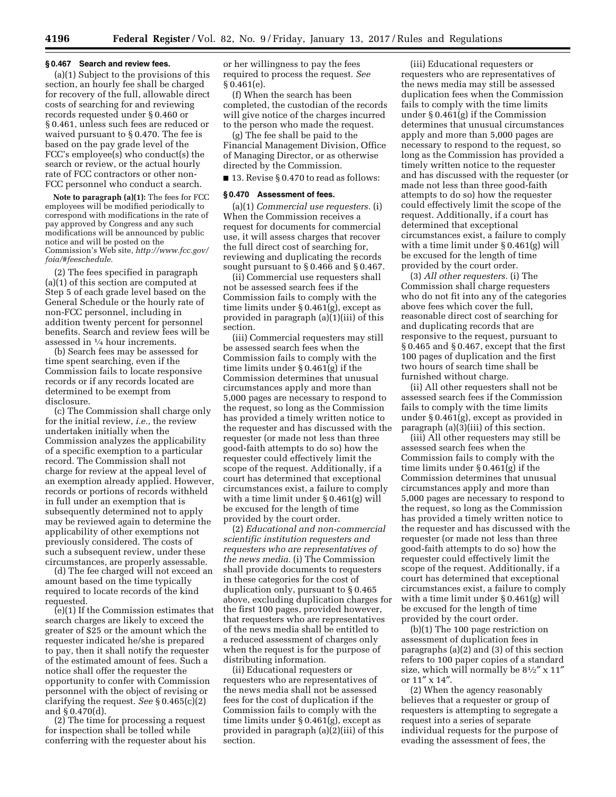#### **§ 0.467 Search and review fees.**

(a)(1) Subject to the provisions of this section, an hourly fee shall be charged for recovery of the full, allowable direct costs of searching for and reviewing records requested under § 0.460 or § 0.461, unless such fees are reduced or waived pursuant to § 0.470. The fee is based on the pay grade level of the FCC's employee(s) who conduct(s) the search or review, or the actual hourly rate of FCC contractors or other non-FCC personnel who conduct a search.

**Note to paragraph (a)(1):** The fees for FCC employees will be modified periodically to correspond with modifications in the rate of pay approved by Congress and any such modifications will be announced by public notice and will be posted on the Commission's Web site, *[http://www.fcc.gov/](http://www.fcc.gov/foia/#feeschedule) [foia/#feeschedule.](http://www.fcc.gov/foia/#feeschedule)* 

(2) The fees specified in paragraph (a)(1) of this section are computed at Step 5 of each grade level based on the General Schedule or the hourly rate of non-FCC personnel, including in addition twenty percent for personnel benefits. Search and review fees will be assessed in 1⁄4 hour increments.

(b) Search fees may be assessed for time spent searching, even if the Commission fails to locate responsive records or if any records located are determined to be exempt from disclosure.

(c) The Commission shall charge only for the initial review, *i.e.,* the review undertaken initially when the Commission analyzes the applicability of a specific exemption to a particular record. The Commission shall not charge for review at the appeal level of an exemption already applied. However, records or portions of records withheld in full under an exemption that is subsequently determined not to apply may be reviewed again to determine the applicability of other exemptions not previously considered. The costs of such a subsequent review, under these circumstances, are properly assessable.

(d) The fee charged will not exceed an amount based on the time typically required to locate records of the kind requested.

(e)(1) If the Commission estimates that search charges are likely to exceed the greater of \$25 or the amount which the requester indicated he/she is prepared to pay, then it shall notify the requester of the estimated amount of fees. Such a notice shall offer the requester the opportunity to confer with Commission personnel with the object of revising or clarifying the request. *See* § 0.465(c)(2) and § 0.470(d).

(2) The time for processing a request for inspection shall be tolled while conferring with the requester about his

or her willingness to pay the fees required to process the request. *See*   $§ 0.461(e).$ 

(f) When the search has been completed, the custodian of the records will give notice of the charges incurred to the person who made the request.

(g) The fee shall be paid to the Financial Management Division, Office of Managing Director, or as otherwise directed by the Commission.

■ 13. Revise § 0.470 to read as follows:

#### **§ 0.470 Assessment of fees.**

(a)(1) *Commercial use requesters.* (i) When the Commission receives a request for documents for commercial use, it will assess charges that recover the full direct cost of searching for, reviewing and duplicating the records sought pursuant to § 0.466 and § 0.467.

(ii) Commercial use requesters shall not be assessed search fees if the Commission fails to comply with the time limits under § 0.461(g), except as provided in paragraph (a)(1)(iii) of this section.

(iii) Commercial requesters may still be assessed search fees when the Commission fails to comply with the time limits under § 0.461(g) if the Commission determines that unusual circumstances apply and more than 5,000 pages are necessary to respond to the request, so long as the Commission has provided a timely written notice to the requester and has discussed with the requester (or made not less than three good-faith attempts to do so) how the requester could effectively limit the scope of the request. Additionally, if a court has determined that exceptional circumstances exist, a failure to comply with a time limit under § 0.461(g) will be excused for the length of time provided by the court order.

(2) *Educational and non-commercial scientific institution requesters and requesters who are representatives of the news media.* (i) The Commission shall provide documents to requesters in these categories for the cost of duplication only, pursuant to § 0.465 above, excluding duplication charges for the first 100 pages, provided however, that requesters who are representatives of the news media shall be entitled to a reduced assessment of charges only when the request is for the purpose of distributing information.

(ii) Educational requesters or requesters who are representatives of the news media shall not be assessed fees for the cost of duplication if the Commission fails to comply with the time limits under § 0.461(g), except as provided in paragraph (a)(2)(iii) of this section.

(iii) Educational requesters or requesters who are representatives of the news media may still be assessed duplication fees when the Commission fails to comply with the time limits under § 0.461(g) if the Commission determines that unusual circumstances apply and more than 5,000 pages are necessary to respond to the request, so long as the Commission has provided a timely written notice to the requester and has discussed with the requester (or made not less than three good-faith attempts to do so) how the requester could effectively limit the scope of the request. Additionally, if a court has determined that exceptional circumstances exist, a failure to comply with a time limit under § 0.461(g) will be excused for the length of time provided by the court order.

(3) *All other requesters.* (i) The Commission shall charge requesters who do not fit into any of the categories above fees which cover the full, reasonable direct cost of searching for and duplicating records that are responsive to the request, pursuant to § 0.465 and § 0.467, except that the first 100 pages of duplication and the first two hours of search time shall be furnished without charge.

(ii) All other requesters shall not be assessed search fees if the Commission fails to comply with the time limits under § 0.461(g), except as provided in paragraph (a)(3)(iii) of this section.

(iii) All other requesters may still be assessed search fees when the Commission fails to comply with the time limits under § 0.461(g) if the Commission determines that unusual circumstances apply and more than 5,000 pages are necessary to respond to the request, so long as the Commission has provided a timely written notice to the requester and has discussed with the requester (or made not less than three good-faith attempts to do so) how the requester could effectively limit the scope of the request. Additionally, if a court has determined that exceptional circumstances exist, a failure to comply with a time limit under § 0.461(g) will be excused for the length of time provided by the court order.

(b)(1) The 100 page restriction on assessment of duplication fees in paragraphs (a)(2) and (3) of this section refers to 100 paper copies of a standard size, which will normally be  $8\frac{1}{2}$ " x  $11$ " or 11″ x 14″.

(2) When the agency reasonably believes that a requester or group of requesters is attempting to segregate a request into a series of separate individual requests for the purpose of evading the assessment of fees, the